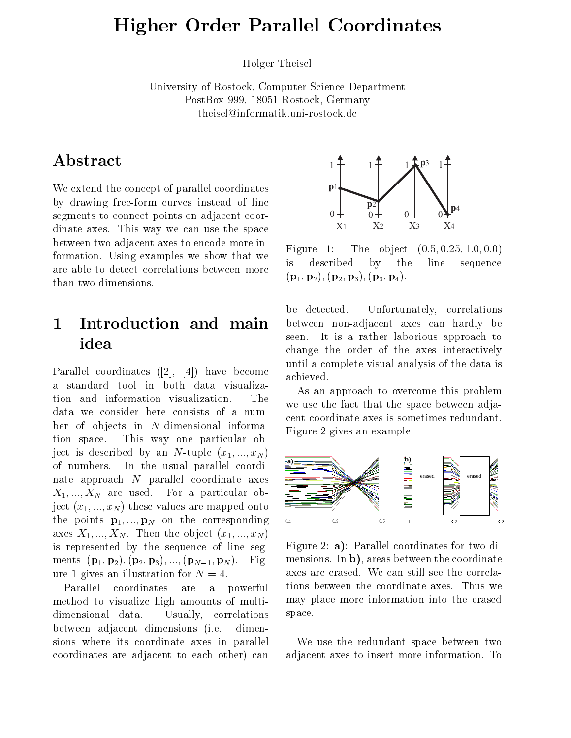# Higher Order Parallel Coordinates

Holger Theisel

University of Rostock, Computer Science Department PostBox 999, 18051 Rostock, Germany theisel@informatik.uni-rostock.de

### Abstract

We extend the concept of parallel coordinates by drawing free-form curves instead of line segments to connect points on adjacent coordinate axes. This way we can use the space between two adjacent axes to encode more information. Using examples we show that we  $\frac{1}{18}$ are able to detect correlations between more than two dimensions.

#### $\mathbf{1}$ Introduction and main idea

Parallel coordinates ([2], [4]) have become a standard tool in both data visualization and information visualization. The data we consider here consists of a number of objects in  $N$ -dimensional information space. This way one particular object is described by an N-tuple  $(x_1, ..., x_N)$ of numbers. In the usual parallel coordinate approach <sup>N</sup> parallel coordinate axes  $X_1, ..., X_N$  are used. For a particular object  $(x_1, ..., x_N)$  these values are mapped onto the points  $\mathbf{p}_1, ..., \mathbf{p}_N$  on the corresponding  $\infty$ axes  $X_1, ..., X_N$ . Then the object  $(x_1, ..., x_N)$ is represented by the sequence of line segments  $({\bf p}_1, {\bf p}_2), ({\bf p}_2, {\bf p}_3), ..., ({\bf p}_{N-1}, {\bf p}_N).$  Figure 1 gives an illustration for  $N = 4$ .

Parallel coordinates are a powerful method to visualize high amounts of multidimensional data. Usually, correlations between adjacent dimensions (i.e. dimensions where its coordinate axes in parallel coordinates are adjacent to each other) can



Figure 1: The object  $(0.5, 0.25, 1.0, 0.0)$ described by the line sequence  $({\bf p}_1, {\bf p}_2), ({\bf p}_2, {\bf p}_3), ({\bf p}_3, {\bf p}_4).$ 

be detected. Unfortunately, correlations between non-adjacent axes can hardly be seen. It is a rather laborious approach to change the order of the axes interactively until a complete visual analysis of the data is achieved.

As an approach to overcome this problem we use the fact that the space between adjacent coordinate axes is sometimes redundant. Figure 2 gives an example.



Figure 2: a): Parallel coordinates for two dimensions. In b), areas between the coordinate axes are erased. We can still see the correlations between the coordinate axes. Thus we may place more information into the erased space.

We use the redundant space between two adjacent axes to insert more information. To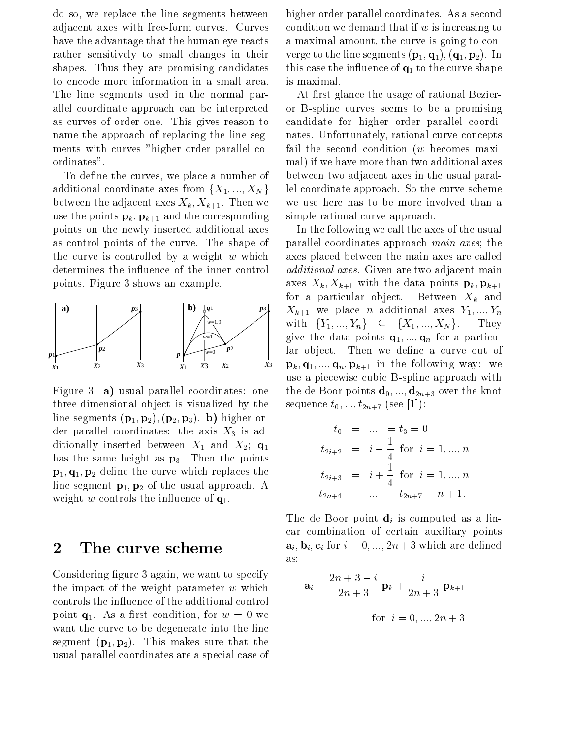do so, we replace the line segments between adjacent axes with free-form curves. Curves have the advantage that the human eye reacts rather sensitively to small changes in their shapes. Thus they are promising candidates to encode more information in a small area. The line segments used in the normal parallel coordinate approach can be interpreted as curves of order one. This gives reason to name the approach of replacing the line segments with curves "higher order parallel coordinates".

To define the curves, we place a number of additional coordinate axes from  $\{X_1, ..., X_N\}$ between the adjacent axes  $X_k, X_{k+1}$ . Then we use the points  $\mathbf{p}_k, \mathbf{p}_{k+1}$  and the corresponding points on the newly inserted additional axes as control points of the curve. The shape of the curve is controlled by a weight  $w$  which determines the influence of the inner control points. Figure 3 shows an example.



Figure 3: **a**) usual parallel coordinates: one three-dimensional object is visualized by the line segments  $(p_1, p_2), (p_2, p_3)$ . b) higher order parallel coordinates: the axis  $X_3$  is additionally inserted between  $X_1$  and  $X_2$ ;  $\mathbf{q}_1$ has the same height as  $p_3$ . Then the points  ${\bf p}_1, {\bf q}_1, {\bf p}_2$  define the curve which replaces the line segment  $\mathbf{p}_1, \mathbf{p}_2$  of the usual approach. A weight w controls the influence of  $q_1$ .

#### 2 The curve scheme

Considering figure 3 again, we want to specify the impact of the weight parameter  $w$  which controls the in
uence of the additional control point  $\mathbf{q}_1$ . As a first condition, for  $w = 0$  we want the curve to be degenerate into the line segment  $(p_1, p_2)$ . This makes sure that the usual parallel coordinates are a special case of higher order parallel coordinates. As a second condition we demand that if  $w$  is increasing to a maximal amount, the curve is going to converge to the line segments  $(\mathbf{p}_1, \mathbf{q}_1), (\mathbf{q}_1, \mathbf{p}_2)$ . In this case the influence of  $q_1$  to the curve shape is maximal.

At first glance the usage of rational Bezieror B-spline curves seems to be a promising candidate for higher order parallel coordinates. Unfortunately, rational curve concepts fail the second condition  $(w)$  becomes maximal) if we have more than two additional axes between two adjacent axes in the usual parallel coordinate approach. So the curve scheme we use here has to be more involved than a simple rational curve approach.

In the following we call the axes of the usual parallel coordinates approach main axes; the axes placed between the main axes are called additional axes. Given are two adjacent main axes  $X_k$ ,  $X_{k+1}$  with the data points  $\mathbf{p}_k$ ,  $\mathbf{p}_{k+1}$ for a particular object. Between  $X_k$  and  $X_{k+1}$  we place *n* additional axes  $Y_1, ..., Y_n$ with  ${Y_1, ..., Y_n} \subseteq {X_1, ..., X_N}$ . They give the data points  $\mathbf{q}_1, ..., \mathbf{q}_n$  for a particular object. Then we define a curve out of  $\mathbf{p}_k, \mathbf{q}_1, ..., \mathbf{q}_n, \mathbf{p}_{k+1}$  in the following way: we use a piecewise cubic B-spline approach with the de Boor points  $\mathbf{d}_0, ..., \mathbf{d}_{2n+3}$  over the knot sequence  $t_0, ..., t_{2n+7}$  (see [1]):

$$
t_0 = \dots = t_3 = 0
$$
  
\n
$$
t_{2i+2} = i - \frac{1}{4} \text{ for } i = 1, ..., n
$$
  
\n
$$
t_{2i+3} = i + \frac{1}{4} \text{ for } i = 1, ..., n
$$
  
\n
$$
t_{2n+4} = \dots = t_{2n+7} = n+1.
$$

The de Boor point  $\mathbf{d}_i$  is computed as a linear combination of certain auxiliary points  $\mathbf{a}_i, \mathbf{b}_i, \mathbf{c}_i$  for  $i = 0, ..., 2n + 3$  which are defined as:

$$
\mathbf{a}_{i} = \frac{2n+3-i}{2n+3} \mathbf{p}_{k} + \frac{i}{2n+3} \mathbf{p}_{k+1}
$$
  
for  $i = 0, ..., 2n+3$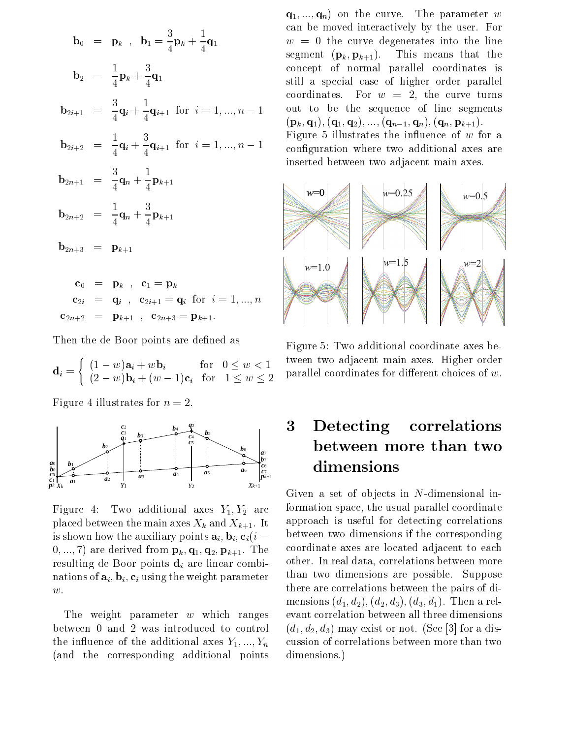$$
b_{0} = p_{k} , b_{1} = \frac{3}{4}p_{k} + \frac{1}{4}q_{1} \qquad w = (2n - 1)q_{1}q_{2} + \frac{3}{4}q_{1} \qquad w = 0
$$
  
\n
$$
b_{2} = \frac{1}{4}p_{k} + \frac{3}{4}q_{1} \qquad \text{concep}
$$
  
\n
$$
b_{2i+1} = \frac{3}{4}q_{i} + \frac{1}{4}q_{i+1} \text{ for } i = 1, ..., n - 1 \qquad \text{out to}
$$
  
\n
$$
b_{2i+2} = \frac{1}{4}q_{i} + \frac{3}{4}q_{i+1} \text{ for } i = 1, ..., n - 1 \qquad \text{Figure}
$$
  
\n
$$
b_{2n+1} = \frac{3}{4}q_{n} + \frac{1}{4}p_{k+1}
$$
  
\n
$$
b_{2n+2} = \frac{1}{4}q_{n} + \frac{3}{4}p_{k+1}
$$
  
\n
$$
b_{2n+3} = p_{k+1}
$$
  
\n
$$
c_{0} = p_{k} , c_{1} = p_{k}
$$
  
\n
$$
c_{2i} = q_{i} , c_{2i+1} = q_{i} \text{ for } i = 1, ..., n
$$

Then the de Boor points are defined as

 ${\bf c}_{2n+2}$  =  ${\bf p}_{k+1}$ ,  ${\bf c}_{2n+3} = {\bf p}_{k+1}$ 

$$
\mathbf{d}_i = \begin{cases} (1-w)\mathbf{a}_i + w\mathbf{b}_i & \text{for} \quad 0 \le w < 1 \\ (2-w)\mathbf{b}_i + (w-1)\mathbf{c}_i & \text{for} \quad 1 \le w \le 2 \end{cases} \quad \text{parallel } c
$$

Figure 4 illustrates for  $n=2$ .



Figure 4: Two additional axes  $Y_1, Y_2$  are placed between the main axes  $X_k$  and  $X_{k+1}$ . It is shown how the auxiliary points  $\mathbf{a}_i, \mathbf{b}_i, \mathbf{c}_i$  (i =  $(0, ..., 7)$  are derived from  $\mathbf{p}_k, \mathbf{q}_1, \mathbf{q}_2, \mathbf{p}_{k+1}$ . The resulting de Boor points  $\mathbf{d}_i$  are linear combinations of  $\mathbf{a}_i$ ,  $\mathbf{b}_i$ ,  $\mathbf{c}_i$  using the weight parameter

 $w$ .<br>The weight parameter  $w$  which ranges between 0 and 2 was introduced to control the influence of the additional axes  $Y_1, ..., Y_n$ (and the corresponding additional points

 $\frac{1}{4}$ **q**<sub>i+1</sub> for  $i = 1, ..., n - 1$  configuration where two additional axes are  $(\mathbf{q}_1, ..., \mathbf{q}_n)$  on the curve. The parameter w can be moved interactively by the user. For  $w = 0$  the curve degenerates into the line segment  $(\mathbf{p}_k, \mathbf{p}_{k+1})$ . This means that the concept of normal parallel coordinates is still a special case of higher order parallel coordinates. For  $w = 2$ , the curve turns out to be the sequence of line segments  $({\bf p}_k, {\bf q}_1), ({\bf q}_1, {\bf q}_2), ..., ({\bf q}_{n-1}, {\bf q}_n), ({\bf q}_n, {\bf p}_{k+1}).$ Figure 5 illustrates the influence of  $w$  for a inserted between two adjacent main axes.



Figure 5: Two additional coordinate axes between two adjacent main axes. Higher order parallel coordinates for different choices of  $w$ .

# 3 Detecting correlations between more than two dimensions

Given a set of objects in N-dimensional information space, the usual parallel coordinate approach is useful for detecting correlations between two dimensions if the corresponding coordinate axes are located adjacent to each other. In real data, correlations between more than two dimensions are possible. Suppose there are correlations between the pairs of dimensions  $(d_1, d_2), (d_2, d_3), (d_3, d_1)$ . Then a relevant correlation between all three dimensions  $(d_1, d_2, d_3)$  may exist or not. (See [3] for a discussion of correlations between more than two dimensions.)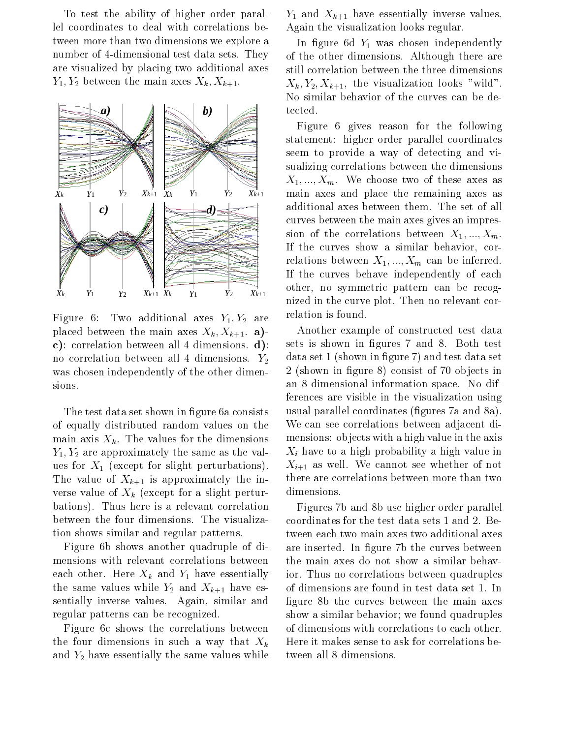To test the ability of higher order parallel coordinates to deal with correlations between more than two dimensions we explore a number of 4-dimensional test data sets. They are visualized by placing two additional axes  $Y_1, Y_2$  between the main axes  $X_k, X_{k+1}$ .



Figure 6: Two additional axes  $Y_1, Y_2$  are placed between the main axes  $X_k, X_{k+1}$ . a)c): correlation between all 4 dimensions. d): no correlation between all 4 dimensions.  $Y_2$ was chosen independently of the other dimensions.

The test data set shown in figure 6a consists of equally distributed random values on the main axis  $X_k$ . The values for the dimensions  $Y_1, Y_2$  are approximately the same as the values for  $X_1$  (except for slight perturbations). The value of  $X_{k+1}$  is approximately the inverse value of  $X_k$  (except for a slight perturbations). Thus here is a relevant correlation between the four dimensions. The visualization shows similar and regular patterns.

Figure 6b shows another quadruple of dimensions with relevant correlations between each other. Here  $X_k$  and  $Y_1$  have essentially the same values while  $Y_2$  and  $X_{k+1}$  have essentially inverse values. Again, similar and regular patterns can be recognized.

Figure 6c shows the correlations between the four dimensions in such a way that  $X_k$ and  $Y_2$  have essentially the same values while  $Y_1$  and  $X_{k+1}$  have essentially inverse values. Again the visualization looks regular.

In figure 6d  $Y_1$  was chosen independently of the other dimensions. Although there are still correlation between the three dimensions  $X_k, Y_2, X_{k+1}$ , the visualization looks "wild". No similar behavior of the curves can be detected.

Figure 6 gives reason for the following statement: higher order parallel coordinates seem to provide a way of detecting and visualizing correlations between the dimensions  $X_1, ..., X_m$ . We choose two of these axes as main axes and place the remaining axes as additional axes between them. The set of all curves between the main axes gives an impression of the correlations between  $X_1, ..., X_m$ . If the curves show a similar behavior, correlations between  $X_1, ..., X_m$  can be inferred. If the curves behave independently of each other, no symmetric pattern can be recognized in the curve plot. Then no relevant correlation is found.

Another example of constructed test data sets is shown in figures 7 and 8. Both test data set 1 (shown in figure 7) and test data set 2 (shown in figure 8) consist of 70 objects in an 8-dimensional information space. No differences are visible in the visualization using usual parallel coordinates (figures 7a and 8a). We can see correlations between adjacent dimensions: objects with a high value in the axis  $X_i$  have to a high probability a high value in  $X_{i+1}$  as well. We cannot see whether of not there are correlations between more than two dimensions.

Figures 7b and 8b use higher order parallel coordinates for the test data sets 1 and 2. Between each two main axes two additional axes are inserted. In figure 7b the curves between the main axes do not show a similar behavior. Thus no correlations between quadruples of dimensions are found in test data set 1. In figure 8b the curves between the main axes show a similar behavior; we found quadruples of dimensions with correlations to each other. Here it makes sense to ask for correlations between all 8 dimensions.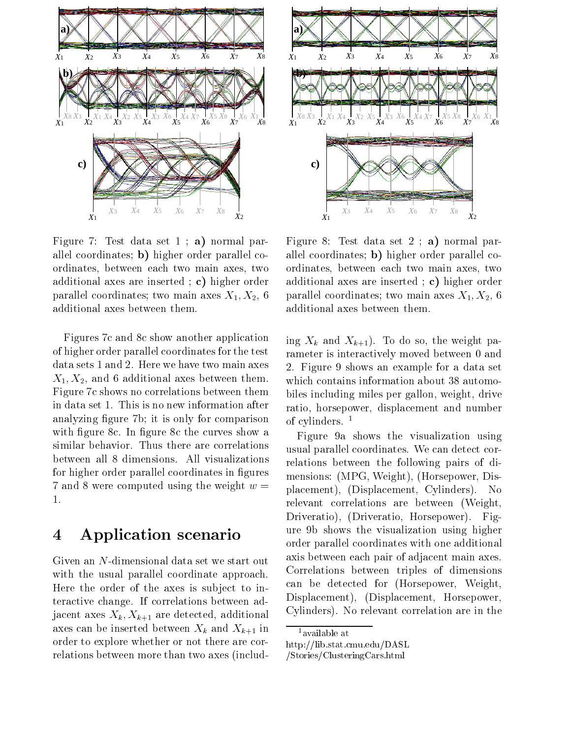

Figure 7: Test data set  $1 : a$  normal parallel coordinates; b) higher order parallel coordinates, between each two main axes, two additional axes are inserted ; c) higher order parallel coordinates; two main axes  $X_1, X_2, 6$ additional axes between them.

Figures 7c and 8c show another application of higher order parallel coordinates for the test data sets 1 and 2. Here we have two main axes  $X_1, X_2$ , and 6 additional axes between them. Figure 7c shows no correlations between them in data set 1. This is no new information after analyzing figure 7b; it is only for comparison with figure 8c. In figure 8c the curves show a similar behavior. Thus there are correlations between all 8 dimensions. All visualizations for higher order parallel coordinates in figures 7 and 8 were computed using the weight  $w =$ 

## 4 Application scenario

Given an N-dimensional data set we start out with the usual parallel coordinate approach. Here the order of the axes is subject to interactive change. If correlations between adjacent axes  $X_k, X_{k+1}$  are detected, additional axes can be inserted between  $X_k$  and  $X_{k+1}$  in order to explore whether or not there are correlations between more than two axes (includ-



Figure 8: Test data set  $2$ ; a) normal parallel coordinates; b) higher order parallel coordinates, between each two main axes, two additional axes are inserted ; c) higher order parallel coordinates; two main axes  $X_1, X_2, 6$ additional axes between them.

ing  $X_k$  and  $X_{k+1}$ ). To do so, the weight parameter is interactively moved between 0 and 2. Figure 9 shows an example for a data set which contains information about 38 automobiles including miles per gallon, weight, drive ratio, horsepower, displacement and number of cylinders.  $<sup>1</sup>$ </sup>

Figure 9a shows the visualization using usual parallel coordinates. We can detect correlations between the following pairs of dimensions: (MPG, Weight), (Horsepower, Displacement), (Displacement, Cylinders). No relevant correlations are between (Weight, Driveratio), (Driveratio, Horsepower). Figure 9b shows the visualization using higher order parallel coordinates with one additional axis between each pair of adjacent main axes. Correlations between triples of dimensions can be detected for (Horsepower, Weight, Displacement), (Displacement, Horsepower, Cylinders). No relevant correlation are in the

<sup>1</sup>available at

http://lib.stat.cmu.edu/DASL

<sup>/</sup>Stories/ClusteringCars.html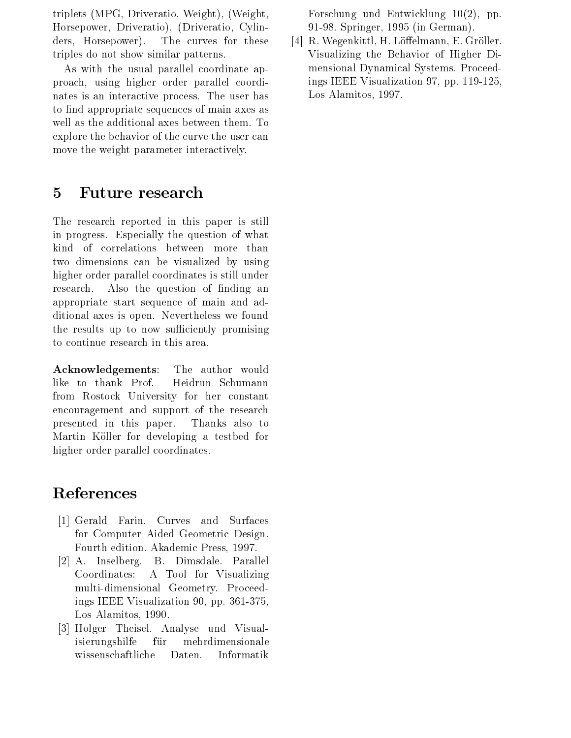triplets (MPG, Driveratio, Weight), (Weight, Horsepower, Driveratio), (Driveratio, Cylinders, Horsepower). The curves for these triples do not show similar patterns.

As with the usual parallel coordinate approach, using higher order parallel coordinates is an interactive process. The user has to find appropriate sequences of main axes as well as the additional axes between them. To explore the behavior of the curve the user can move the weight parameter interactively.

## 5 Future research

The research reported in this paper is still in progress. Especially the question of what kind of correlations between more than two dimensions can be visualized by using higher order parallel coordinates is still under research. Also the question of finding an appropriate start sequence of main and additional axes is open. Nevertheless we found the results up to now sufficiently promising to continue research in this area.

Acknowledgements: The author would like to thank Prof. Heidrun Schumann from Rostock University for her constant encouragement and support of the research presented in this paper. Thanks also to Martin Köller for developing a testbed for higher order parallel coordinates.

## References

- [1] Gerald Farin. Curves and Surfaces for Computer Aided Geometric Design. Fourth edition. Akademic Press, 1997.
- [2] A. Inselberg, B. Dimsdale. Parallel Coordinates: A Tool for Visualizing multi-dimensional Geometry. Proceedings IEEE Visualization 90, pp. 361-375, Los Alamitos, 1990.
- [3] Holger Theisel. Analyse und Visualisierungshilfe für mehrdimensionale wissenschaftliche Daten. Informatik

Forschung und Entwicklung 10(2), pp. 91-98. Springer, 1995 (in German).

[4] R. Wegenkittl, H. Löffelmann, E. Gröller. Visualizing the Behavior of Higher Dimensional Dynamical Systems. Proceedings IEEE Visualization 97, pp. 119-125, Los Alamitos, 1997.